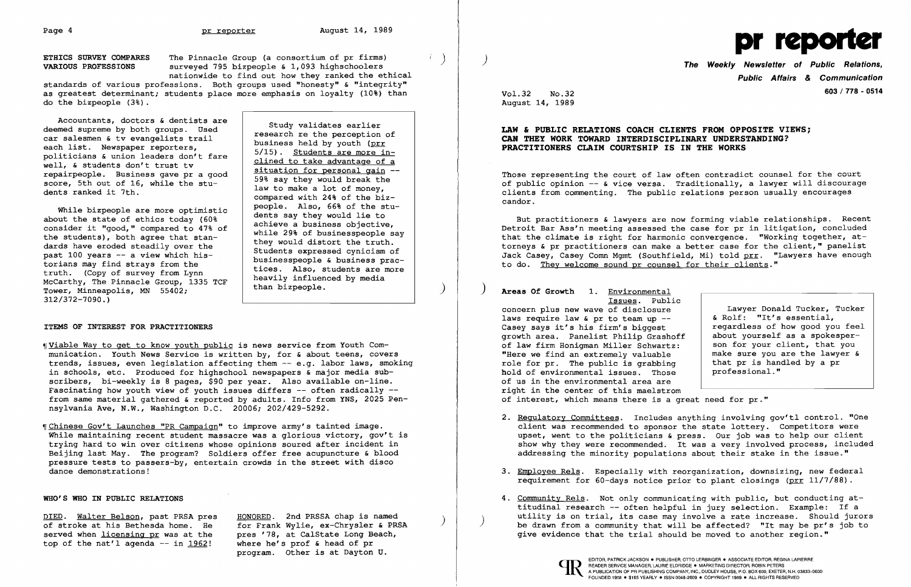ETHICS SURVEY COMPARES The Pinnacle Group (a consortium of pr firms)<br>
VARIOUS PROFESSIONS surveyed 795 bizpeople & 1,093 highschoolers nationwide to find out how they ranked the ethical

standards of various professions. Both groups used "honesty" & "integrity" as greatest determinant; students place more emphasis on loyalty (10%) than do the bizpeople (3%).

Accountants, doctors & dentists are deemed supreme by both groups. Used car salesmen & tv evangelists trail examble and suppleme by both groups. Used<br>
each list. Newspaper reporters,<br>
politicians & union leaders don't fare<br>
well, & students don't trust tv<br>
repairpeople. Business gave pr a good<br>
score 5th out of 16 while the stup score, 5th out of 16, while the stu-<br>dents ranked it 7th.<br>compared with 24% of the biz-

While bizpeople are more optimistic<br>
about the state of ethics today (60%<br>
consider it "good," compared to 47% of<br>
the students), both agree that stan-<br>
dards have eroded steadily over the<br>
past 100 years -- a view which h McCarthy, The Pinnacle Group, 1335 TCF than bizpeople.<br>Tower, Minneapolis, MN 55402;<br>end on than bizpeople. 312/372-7090.)

## ITEMS OF INTEREST FOR PRACTITIONERS

- ~[Viable Way to get to know youth public is news service from Youth Communication. Youth News Service is written by, for & about teens, covers trends, issues, even legislation affecting them -- e.g. labor laws, smoking in schools, etc. Produced for highschool newspapers & major media subscribers, bi-weekly is 8 pages, \$90 per year. Also available on-line. Fascinating how youth view of youth issues differs  $-$ - often radically  $-$ from same material gathered & reported by adults. Info from YNS, 2025 Pennsylvania Ave, N.W., Washington D.C. 20006; 202/429-5292.
- ~[Chinese Gov't Launches "PR Campaign" to improve army's tainted image. While maintaining recent student massacre was a glorious victory, gov't is trying hard to win over citizens whose opinions soured after incident in Beijing last May. The program? Soldiers offer free acupuncture & blood pressure tests to passers-by, entertain crowds in the street with disco dance demonstrations!

2. Regulatory Committees. Includes anything involving gov'tl control. "One client was recommended to sponsor the state lottery. Competitors were upset, went to the politicians & press. Our job was to help our client show why they were recommended. It was a very involved process, included addressing the minority populations about their stake in the issue."

3. Employee Rels. Especially with reorganization, downsizing, new federal requirement for 60-days notice prior to plant closings ( $prr$  11/7/88).

4. Community Rels. Not only communicating with public, but conducting attitudinal research -- often helpful in jury selection. Example: If a<br>utility is on trial, its case may involve a rate increase. Should jurors be drawn from a community that will be affected? "It may be pr's job to

### WHO'S WHO IN PUBLIC RELATIONS

DIED. Walter Belson, past PRSA pres HONORED. 2nd PRSSA chap is named<br>of stroke at his Bethesda home. He for Frank Wylie, ex-Chrysler & PRSA<br>served when licensing pr was at the pres '78, at CalState Long Beach, served when <u>licensing pr</u> was at the pres '78, at CalState Long Be<br>top of the nat'l agenda -- in 1962! where he's prof & head of pr top of the nat'l agenda  $-$  in 1962!

program. Other is at Dayton U.



) The Weekly Newsletter of Public Relations, Public Affairs & Communication 603/778 - <sup>0514</sup>

Vol.32 No.32 August 14, 1989

# LAW & PUBLIC RELATIONS COACH CLIENTS FROM OPPOSITE VIEWS; CAN THEY WORK TOWARD INTERDISCIPLINARY UNDERSTANDING? PRACTITIONERS CLAIM COURTSHIP IS IN THE WORKS

Those representing the court of law often contradict counsel for the court of public opinion -- & vice versa. Traditionally, a lawyer will discourage clients from commenting. The public relations person usually encourages candor.

But practitioners & lawyers are now forming viable relationships. Recent Detroit Bar Ass'n meeting assessed the case for pr in litigation, concluded that the climate is right for harmonic convergence. "Working together, attorneys & pr practitioners can make a better case for the client," panelist Jack Casey, Casey Comn Mgmt (Southfield, Mi) told prr. "Lawyers have enough to do. They welcome sound pr counsel for their clients."

) Areas Of Growth 1. Environmental

Issues. Public concern plus new wave of disclosure<br>
lawyer Donald Tucker, Tucker<br>
laws require law & pr to team up --<br>  $\begin{array}{ccc} & \text{Lawyer Donald Tucker, Tucker} \\ & \text{Let's essential,} \end{array}$ laws require law  $\epsilon$  pr to team up  $-$ Casey says it's his firm's biggest regardless of how good you feel<br>about yourself as a spokespergrowth area. Panelist Philip Grashoff | about yourself as a spokesper-<br>of law firm Honioman Miller Schwartz: | son for your client, that you of law firm Honigman Miller Schwartz: son for your client, that you<br>"Here we find an extremely valuable sure you are the lawyer & "Here we find an extremely valuable  $\begin{array}{c|c} \n \text{make sure you are the law's role for or.} \\
 \text{the public is graphing} \\
 \end{array}$ role for pr. The public is grabbing that pr is han<br>hold of environmental issues. Those professional." hold of environmental issues. Those of us in the environmental area are right in the center of this maelstrom of interest, which means there is a great need for pr."

- 
- 
- give evidence that the trial should be moved to another region."